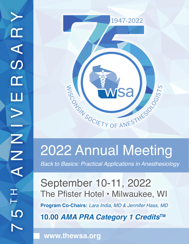

# 2022 Annual Meeting

*Back to Basics: Practical Applications in Anesthesiology*

**10.00 AMA PRA Category 1 CreditsTM** September 10-11, 2022 The Pfister Hotel • Milwaukee, WI **Program Co-Chairs:** *Lara India, MD & Jennifer Hass, MD*

**www.thewsa.org**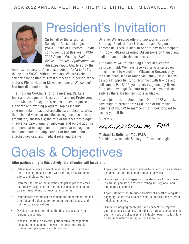

President's Invitation

On behalf of the Wisconsin Society of Anesthesiologists (WSA) Board of Directors, I invite you to join us at this year's WSA 2022 Annual Meeting, *Back to Basics – Practical Applications in Anesthesiology*. Chartered by the

American Society of Anesthesiologists (ASA) in 1947, this year is WSA's 75th anniversary. We are excited to celebrate by hosting this year's meeting in-person at the historic Pfister Hotel in Milwaukee, one of Wisconsin's few four diamond hotels.

The Program Co-Chairs for this meeting, Dr. Lara India and Dr. Jennifer Hass, both Assistant Professors at the Medical College of Wisconsin, have organized a diverse and exciting program. Topics include environmental impacts of anesthesia practice; cardiac, thoracic and vascular anesthesia; regional anesthesia; ambulatory anesthesia; the role of the anesthesiologist in advance care planning; suboxone and opioid agonist perioperative management; perioperative management; the bionic patient – implications of implanted and attached devices; and medical relief and the war in

Ukraine. We are also offering two workshops on Saturday, Point-of-Care Ultrasound and Regional Anesthesia. There is also an opportunity to participate in Problem-Based Learning Discussions on transplant, pediatric and obstetric anesthesia.

Additionally, we are planning a special event for Saturday night. We have reserved private suites on the club level to watch the Milwaukee Brewers play the Cincinnati Reds at American Family Field. This will be a great opportunity to reconnect with friends and colleagues. For \$125, you receive a game day ticket, food, and beverage. Be sure to purchase your tickets early as there are limited spots available.

Please join us from September 10-11, 2022 and take advantage of earning free CME, one of the many benefits of your WSA membership. I look forward to seeing you all there.

Sincerely,

Muhael 2 Bethe M) FASA

**Michael L. Bottcher, MD, FASA** President, Wisconsin Society of Anesthesiologists

# Goals & Objectives

#### **After participating in this activity, the attendee will be able to:**

- Relate several ways in which anesthesiologists can have a far-reaching impact on the world through environmental efforts and global outreach.
- Reframe the role of the anesthesiologist in practice areas historically designated to other specialties, such as point-ofcare ultrasound and advance care planning.
- Demonstrate anatomical placement and understand the use of ultrasound guidance for common regional blocks and point of care applications.
- Develop strategies to reduce the risks associated with regional anesthesia.
- Discuss updates in essential perioperative management, including management of newer therapies for chronic diseases and preoperative optimization.
- Apply perioperative best practices to patients with substance use disorder and implanted / attached devices.
- Discuss subspecialty-specific considerations for key issues in cardiac, pediatric, obstetric, transplant, regional, and ambulatory anesthesia.
- Appreciate how the American Society of Anesthesiologists is engaging federal stakeholders and the implications for your individual practice.
- Discover emerging techniques and concepts to improve your anesthesia practice, regardless of practice area; expand your network of colleagues and industry experts to facilitate future information sharing and collaboration.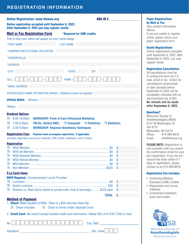#### **REGISTRATION INFORMATION**

| <b>Online Registration: www.thewsa.org</b>                                                                                                                                                                                                                                                                                                                                                                                            | <b>ABA ID#</b>     |
|---------------------------------------------------------------------------------------------------------------------------------------------------------------------------------------------------------------------------------------------------------------------------------------------------------------------------------------------------------------------------------------------------------------------------------------|--------------------|
| <b>Online registration accepted until September 6, 2022.</b><br>After September 6, 2022 you may register onsite.                                                                                                                                                                                                                                                                                                                      |                    |
| <b>Mail or Fax Registration Form</b><br><b>*Required for CME credits</b>                                                                                                                                                                                                                                                                                                                                                              |                    |
| This is how your name will appear on your name badge.                                                                                                                                                                                                                                                                                                                                                                                 |                    |
| *FIRST NAME:<br>*LAST NAME:                                                                                                                                                                                                                                                                                                                                                                                                           |                    |
| *COMPANY/INSTITUTIONAL AFFILIATION:                                                                                                                                                                                                                                                                                                                                                                                                   |                    |
| *CREDENTIAL(S):                                                                                                                                                                                                                                                                                                                                                                                                                       |                    |
| *ADDRESS:                                                                                                                                                                                                                                                                                                                                                                                                                             |                    |
| *CITY:<br>*STATE:                                                                                                                                                                                                                                                                                                                                                                                                                     | *ZIP:              |
| HOME: (<br>CELL:                                                                                                                                                                                                                                                                                                                                                                                                                      |                    |
| *EMAIL ADDRESS:                                                                                                                                                                                                                                                                                                                                                                                                                       |                    |
| SPOUSE/GUEST NAME FOR MEETING BADGE (*Additional Guest Fee Applies):                                                                                                                                                                                                                                                                                                                                                                  |                    |
| <b>SPECIAL NEEDS: ODietary:</b>                                                                                                                                                                                                                                                                                                                                                                                                       |                    |
| $\Box$ Other:                                                                                                                                                                                                                                                                                                                                                                                                                         |                    |
| 8:30-10:00am<br><b>WORKSHOP: Point-of-Care Ultrasound Workshop</b><br>п<br>$1:00-2:00$ pm<br>PBLDs: (Select ONE): □ Transplant<br>$\Box$ Pediatrics<br>$\Box$ Obstetrics<br>п<br>$3:30 - 5:00$ pm<br><b>WORKSHOP: Regional Anesthesia Techniques</b><br>Π.<br><b>Registration Fees</b><br>Payment must accompany registration, if applicable.<br>(Includes registration and course materials, CME credits, breakfasts, lunch, breaks) |                    |
| <b>Registration</b>                                                                                                                                                                                                                                                                                                                                                                                                                   |                    |
|                                                                                                                                                                                                                                                                                                                                                                                                                                       | \$                 |
| п<br>□                                                                                                                                                                                                                                                                                                                                                                                                                                | \$<br>\$           |
| 0                                                                                                                                                                                                                                                                                                                                                                                                                                     | \$                 |
| п                                                                                                                                                                                                                                                                                                                                                                                                                                     | \$                 |
| п                                                                                                                                                                                                                                                                                                                                                                                                                                     | \$                 |
| <b>A La Carte Items</b>                                                                                                                                                                                                                                                                                                                                                                                                               |                    |
| <b>RSVP Required - Complimentary Lunch Provided</b>                                                                                                                                                                                                                                                                                                                                                                                   |                    |
| 0<br>П.                                                                                                                                                                                                                                                                                                                                                                                                                               | \$<br>\$           |
| Brewers vs. Reds Game (ticket to private suite, food & beverage) \$125 each<br>п                                                                                                                                                                                                                                                                                                                                                      | \$                 |
|                                                                                                                                                                                                                                                                                                                                                                                                                                       | <b>TOTAL</b><br>\$ |
| <b>Method of Payment</b><br>1. Check: Make payable to WSA. There is a \$25 returned check fee.<br><b>Check Included</b><br><b>D</b> Check to Arrive Under Separate Cover<br>$\Box$                                                                                                                                                                                                                                                    |                    |
| 2. Credit Card: We cannot accept emailed credit card information. Please FAX (414-276-7704) or mail.                                                                                                                                                                                                                                                                                                                                  |                    |
|                                                                                                                                                                                                                                                                                                                                                                                                                                       |                    |
| No.                                                                                                                                                                                                                                                                                                                                                                                                                                   | Exp. Date:         |

#### Paper Registrations by Mail or Fax

(see contact information below) If you are unable to register online, please return your paper registration form.

#### Onsite Registrations

Online registrations accepted until September 6, 2022. After September 6, 2022, you may register onsite.

#### Registration Cancellation

All cancellations must be in writing and sent via U.S. mail, email or fax. Tuition for cancellations postmarked or date stamped before September 6, 2022 will be completely refunded with an administrative fee of \$25. No refunds will be made after September 6, 2022.

#### Questions?

Wisconsin Society of Anesthesiologists (WSA) 6737 W Washington St Ste 4210 Milwaukee, WI 53214 Office: 414-389-8616 Email: info@thewsa.org

**PLEASE NOTE: Registration is** not complete until you receive the confirmation email for your pre-registration. If you do not receive this letter within 5-7 days of registration, please contact us at 414-389-8616.

#### Registration Fee includes:

- Continuing Medical Education (CME) credits
- Registration and course materials
- Continental breakfasts, lunch and breaks



Signature: \_\_\_\_\_\_\_\_\_\_\_\_\_\_\_\_\_\_\_\_\_\_\_\_\_\_\_\_\_\_\_\_\_\_\_\_\_\_\_\_\_\_\_\_\_ Sec. Code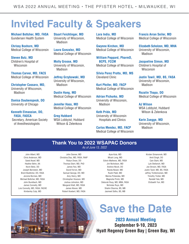## **Invited Faculty & Speakers**

**Michael Bottcher, MD, FASA** Gundersen Health System

**Chrissy Boxhorn, MD**  Medical College of Wisconsin

**Steven Butz, MD**  Children's Hospital of **Wisconsin** 

**Thomas Carver, MD, FACS** Medical College of Wisconsin

**Christopher Cassara, MD,** University of Wisconsin, Madison

**Danisa Daubenspeck, DO** University of Chicago

**Kenneth Elmassian, DO, FASA, FAOCA** Secretary, American Society of Anesthesiologists

**Stuart Feichtinger, MD**  University of Wisconsin, Madison

**Laura Gonzalez, MD**  Medical College of Wisconsin

**Molly Groose, MD** University of Wisconsin, Madison

**Jeffrey Grzybowski, MD**  University of Wisconsin, Madison

**Dustin Hang, MD** Medical College of Wisconsin

**Jennifer Hass, MD** Medical College of Wisconsin

**Greg Hubbard**  WSA Lobbyist, Hubbard Wilson & Zelenkova

**Lara India, MD** Medical College of Wisconsin

**Gwynne Kirchen, MD**  Medical College of Wisconsin

**William Peppard, PharmD, BCPS, FCCM**  Medical College of Wisconsin

**Silvia Perez Protto, MD, MS**  Cleveland Clinic

**Kurt Pfeifer, MD, FACP** Medical College of Wisconsin

**Adrian Pichurko, MD** University of Wisconsin, Madison

**Keth Pride, MD** University of Wisconsin Hospitals and Clinics

**Carlos Mendez, MD, FACP**  Medical College of Wisconsin **Francis Arran Seiler, MD**  Medical College of Wisconsin

**Elizabeth Scholzen, MD, MHA** University of Wisconsin, Madison

**Jacqueline Simon, MD** Children's Hospital of Wisconsin

**Justin Tawil, MD, BS, FASA**  University of Wisconsin, Madison

**Rozalin Thapa, DO**  Medical College of Wisconsin

**AJ Wilson** WSA Lobbyist, Hubbard Wilson & Zelenkova

**Karin Zuegge, MD** University of Wisconsin, Madison

#### **Thank You to 2022 WSAPAC Donors** *As of June 13, 2022*

John Albert, MD Chris Anderson, MD Saied Assef, MD Heather Behn, AA Kevin Beitz, DO Joseph Bernstein, MD Brent Boettcher, DO, FASA Jerome Bormes, MD Michael Bottcher, MD, FASA John Burelbach, MD James Connelly, MD Lois Connolly, MD, FASA, FACHE Kimberley Culp, MD

John Danner, MD Christina Diaz, MD, FASA, FAAP Robyn Dwan, DO Thomas Ebert, MD, PhD James Feix, MD David Ferron, MD Samuel George, DO, MD Amy Henry, MD Christopher Howson, MD Joshua Johnston, MD Margaret Klatt, MD, FASA James Kleven, MD Robert Koebert, MD, FASA

Ayse Kula, MD Micah Long, MD Edwin Mathews, MD, FASA Jim Nicholson, MD Andrew Nicoli, DO Randa Noseir, MD Rushi Patel, MD Marina Polianska, MD Magnolia Printz, MD Deborah Rusy, MD, MBA, FASA Nicholas Ruys, MD Shalini Sharma, BS, MB Jasmeet Sidhu, BS, MB

Kirsten Simanonok, MD Amit Singh, DO Cain Stark, MD Lyle Stefanich, MD Joe Strosin, MD, FASA Justin Tawil, MD, BS, FASA Jeffrey Trohkimoinen, MD Timothy Trotier, MD Randall Yale, MD Elizbaeth Yun, MD



## **Save the Date**

**2023 Annual Meeting September 9-10, 2023 Hyatt Regency Green Bay | Green Bay, WI**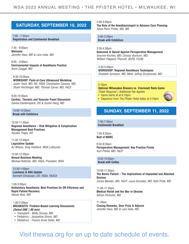#### **SATURDAY, SEPTEMBER 10, 2022**

#### 7:00 - 7:45am

**Registration and Continental Breakfast**

7:45 - 8:00am **Welcome** *Jennifer Hass, MD & Lara India, MD*

8:00 - 9:00am **Environmental Impacts of Anesthesia Practice**  *Karin Zuegge, MD* 

8:30-10:00am **WORKSHOP: Point-of-Care Ultrasound Workshop** *Justin Tawil, MD, BS, FASA; Christopher Cassara, MD; Stuart Feichtinger, MD; Thomas Carver, MD, FACS*

9:00-10:00am **Cardiac, Thoracic and Vascular Panel Discussion** *Danisa Daubenspeck, DO & Dustin Hang, MD*

10:00-10:30am **Break with Exhibitors**

10:30-11:30am **Regional Anesthesia – Risk Mitigation & Complication Management Best Practices** *Rozalin Thapa, DO*

11:30-12:00pm **Legislative Update** *AJ Wilson, Greg Hubbard, WSA Lobbyists*

12:00-12:30pm **Annual Business Meeting** *Michael Bottcher, MD, FASA, President, WSA*

12:30-1:00pm **Luncheon & ASA Update** *Kenneth Elmassian, DO, FASA, FAOCA*

1:00-2:00pm **Ambulatory Anesthesia: Best Practices for OR Efficiency and Rapid Patient Recovery** *Steven Butz, MD*

1:00-2:00pm **BREAKOUTS: Problem-Based Learning Discussions**  *(Select ONE | 60 min)*

- Transplant - *Molly Groose, MD*
- Pediatrics *Jacqueline Simon, MD*
- Obstetrics *Francis Arran Seiler, MD*

2:00-3:00pm

**The Role of the Anesthesiologist in Advance Care Planning** *Silvia Perez Protto, MD, MS*

3:00-3:30pm **Break with Exhibitors**

3:30-4:30pm **Suboxone & Opioid Agonist Perioperative Management** *Gwynne Kirchen, MD; Chrissy Boxhorn, MD; William Peppard, PharmD, BCPS, FCCM*

3:30-5:00pm **WORKSHOP: Regional Anesthesia Techniques** *Elizabeth Scholzen, MD, MHA; Jeffrey Grzybowski, MD*

#### 5:15pm

#### **Optional Milwaukee Brewers vs. Cincinnati Reds Game**  *Ticket Required | Additional Fee Applies*

- Game starts at at 6:10pm
- Departure from The Pfister Hotel lobby at 5:15pm

#### **SUNDAY, SEPTEMBER 11, 2022**

7:00-7:30am **Continental Breakfast**

7:30-8:30am **Best of MARC**

8:30-9:30am **Perioperative Management: Key Practice Points** *Kurt Pfeifer, MD, FACP*

9:30-10:00am **Break with Coffee**

10:00-11:00am **The Bionic Patient – The Implications of Implanted and Attached Devices** *Carlos Mendez, MD, FACP; Laura Gonzalez, MD; Keth Pride, MD*

11:00-11:30am **Medical Relief and the War in Ukraine** *Adrian Pichurko, MD*

11:30am **Closing Remarks, Door Prize & Adjourn** *Jennifer Hass, MD & Lara India, MD*

### Visit thewsa.org for an up to date schedule of events.